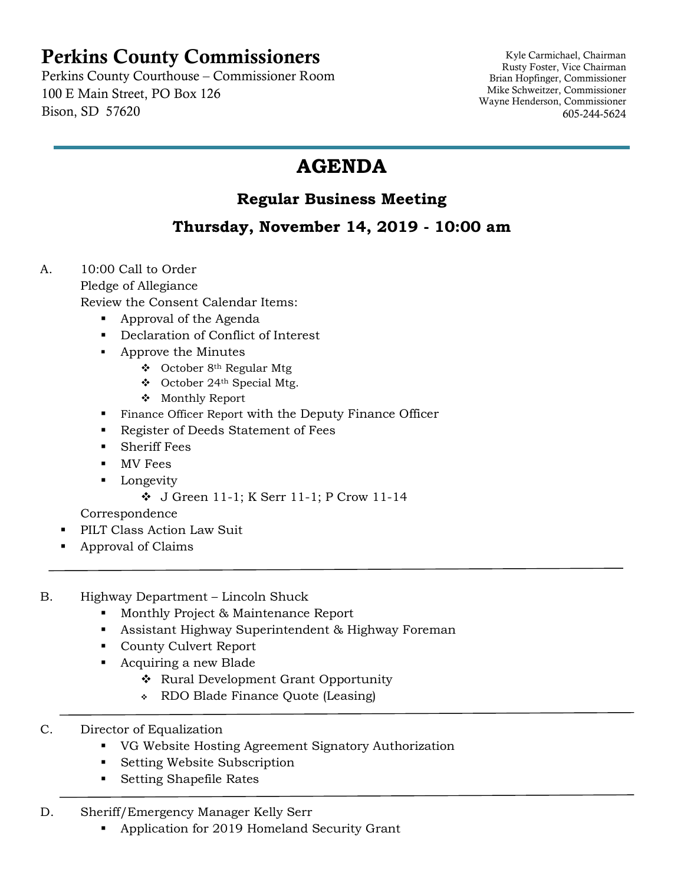## Perkins County Commissioners

Perkins County Courthouse – Commissioner Room 100 E Main Street, PO Box 126 Bison, SD 57620

Kyle Carmichael, Chairman Rusty Foster, Vice Chairman Brian Hopfinger, Commissioner Mike Schweitzer, Commissioner Wayne Henderson, Commissioner 605-244-5624

## **AGENDA**

## **Regular Business Meeting**

## **Thursday, November 14, 2019 - 10:00 am**

- A. 10:00 Call to Order Pledge of Allegiance Review the Consent Calendar Items:
	- Approval of the Agenda
	- Declaration of Conflict of Interest
	- Approve the Minutes
		- ❖ October 8th Regular Mtg
		- ❖ October 24th Special Mtg.
		- ❖ Monthly Report
	- Finance Officer Report with the Deputy Finance Officer
	- Register of Deeds Statement of Fees
	- Sheriff Fees
	- MV Fees
	- Longevity
		- ❖ J Green 11-1; K Serr 11-1; P Crow 11-14

Correspondence

- PILT Class Action Law Suit
- Approval of Claims
- B. Highway Department Lincoln Shuck
	- Monthly Project & Maintenance Report
	- Assistant Highway Superintendent & Highway Foreman
	- County Culvert Report
	- Acquiring a new Blade
		- ❖ Rural Development Grant Opportunity
		- ❖ RDO Blade Finance Quote (Leasing)
- C. Director of Equalization
	- VG Website Hosting Agreement Signatory Authorization
	- Setting Website Subscription
	- Setting Shapefile Rates
- D. Sheriff/Emergency Manager Kelly Serr
	- Application for 2019 Homeland Security Grant